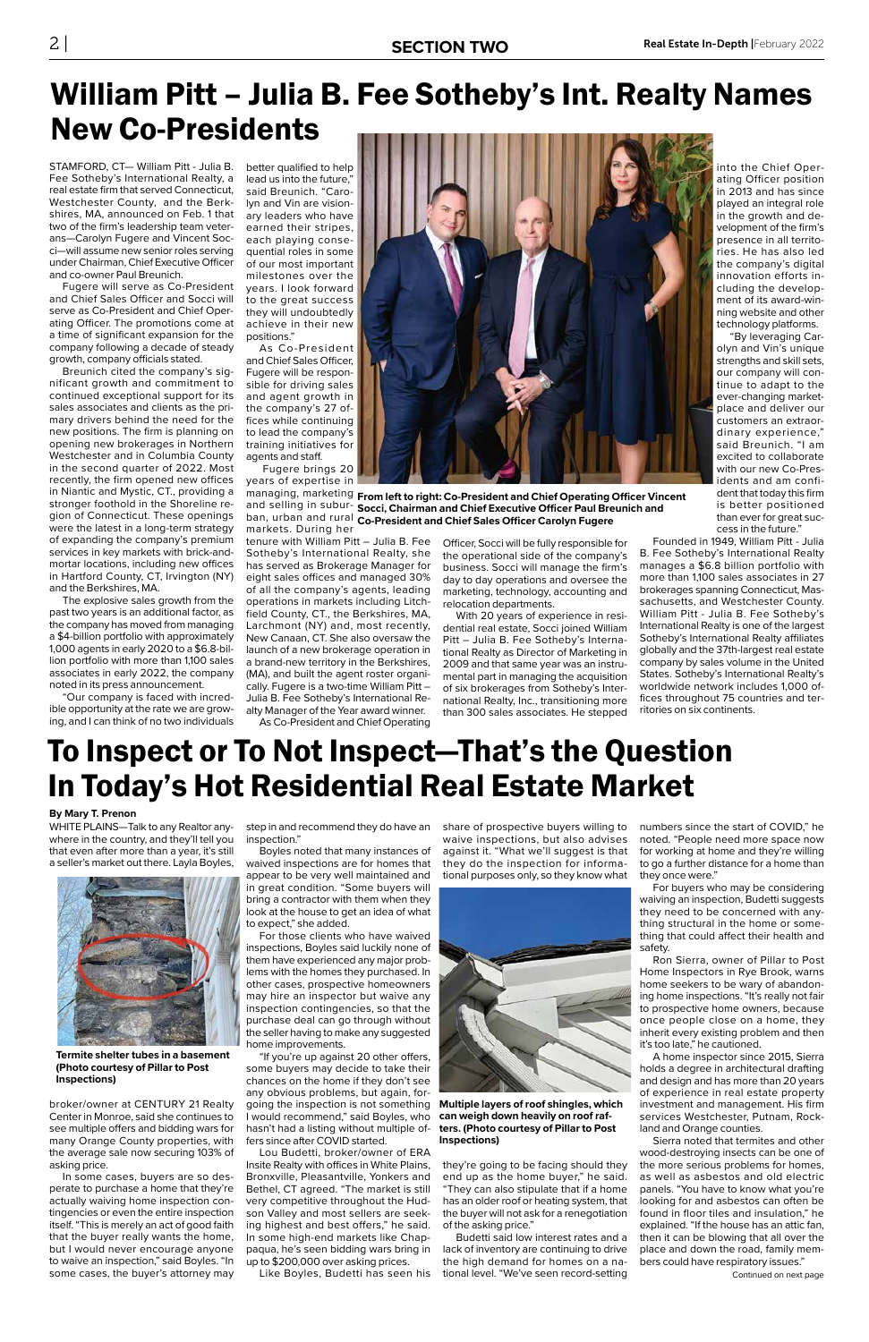STAMFORD, CT— William Pitt - Julia B. better qualified to help Fee Sotheby's International Realty, a real estate firm that served Connecticut, Westchester County, and the Berkshires, MA, announced on Feb. 1 that two of the firm's leadership team veterans—Carolyn Fugere and Vincent Socci—will assume new senior roles serving under Chairman, Chief Executive Officer and co-owner Paul Breunich.

Fugere will serve as Co-President and Chief Sales Officer and Socci will serve as Co-President and Chief Operating Officer. The promotions come at a time of significant expansion for the company following a decade of steady growth, company officials stated.

Breunich cited the company's significant growth and commitment to continued exceptional support for its sales associates and clients as the primary drivers behind the need for the new positions. The firm is planning on opening new brokerages in Northern Westchester and in Columbia County in the second quarter of 2022. Most recently, the firm opened new offices in Niantic and Mystic, CT., providing a stronger foothold in the Shoreline region of Connecticut. These openings were the latest in a long-term strategy of expanding the company's premium services in key markets with brick-andmortar locations, including new offices in Hartford County, CT, Irvington (NY) and the Berkshires, MA.

The explosive sales growth from the past two years is an additional factor, as the company has moved from managing a \$4-billion portfolio with approximately 1,000 agents in early 2020 to a \$6.8-billion portfolio with more than 1,100 sales associates in early 2022, the company noted in its press announcement.

"Our company is faced with incredible opportunity at the rate we are growing, and I can think of no two individuals

## William Pitt – Julia B. Fee Sotheby's Int. Realty Names New Co-Presidents

lead us into the future," said Breunich. "Carolyn and Vin are visionary leaders who have earned their stripes, each playing consequential roles in some of our most important milestones over the years. I look forward to the great success they will undoubtedly achieve in their new positions."

As Co-President and Chief Sales Officer, Fugere will be responsible for driving sales and agent growth in the company's 27 offices while continuing to lead the company's training initiatives for agents and staff.

 Fugere brings 20 years of expertise in

markets. During her tenure with William Pitt – Julia B. Fee Sotheby's International Realty, she

has served as Brokerage Manager for eight sales offices and managed 30% of all the company's agents, leading operations in markets including Litchfield County, CT., the Berkshires, MA, Larchmont (NY) and, most recently, New Canaan, CT. She also oversaw the launch of a new brokerage operation in a brand-new territory in the Berkshires, (MA), and built the agent roster organically. Fugere is a two-time William Pitt – Julia B. Fee Sotheby's International Realty Manager of the Year award winner. As Co-President and Chief Operating



managing, marketing From left to right: Co-President and Chief Operating Officer Vincent and selling in subur- Socci, Chairman and Chief Executive Officer Paul Breunich and ban, urban and rural **Co-President and Chief Sales Officer Carolyn Fugere** 

> Officer, Socci will be fully responsible for the operational side of the company's business. Socci will manage the firm's day to day operations and oversee the marketing, technology, accounting and relocation departments.

> With 20 years of experience in residential real estate, Socci joined William Pitt – Julia B. Fee Sotheby's International Realty as Director of Marketing in 2009 and that same year was an instrumental part in managing the acquisition of six brokerages from Sotheby's International Realty, Inc., transitioning more than 300 sales associates. He stepped

into the Chief Operating Officer position in 2013 and has since played an integral role in the growth and development of the firm's presence in all territories. He has also led the company's digital innovation efforts including the development of its award-winning website and other technology platforms.

"By leveraging Carolyn and Vin's unique strengths and skill sets, our company will continue to adapt to the ever-changing marketplace and deliver our customers an extraordinary experience," said Breunich. "I am excited to collaborate with our new Co-Presidents and am confident that today this firm is better positioned than ever for great success in the future."

Founded in 1949, William Pitt - Julia B. Fee Sotheby's International Realty manages a \$6.8 billion portfolio with more than 1,100 sales associates in 27 brokerages spanning Connecticut, Massachusetts, and Westchester County. William Pitt - Julia B. Fee Sotheby's International Realty is one of the largest Sotheby's International Realty affiliates globally and the 37th-largest real estate company by sales volume in the United States. Sotheby's International Realty's worldwide network includes 1,000 offices throughout 75 countries and territories on six continents.

#### **By Mary T. Prenon**

WHITE PLAINS—Talk to any Realtor anywhere in the country, and they'll tell you that even after more than a year, it's still a seller's market out there. Layla Boyles,



broker/owner at CENTURY 21 Realty Center in Monroe, said she continues to see multiple offers and bidding wars for many Orange County properties, with the average sale now securing 103% of asking price.

In some cases, buyers are so desperate to purchase a home that they're actually waiving home inspection contingencies or even the entire inspection itself. "This is merely an act of good faith that the buyer really wants the home, but I would never encourage anyone to waive an inspection," said Boyles. "In some cases, the buyer's attorney may

## To Inspect or To Not Inspect—That's the Question In Today's Hot Residential Real Estate Market

step in and recommend they do have an inspection."

Boyles noted that many instances of waived inspections are for homes that appear to be very well maintained and in great condition. "Some buyers will bring a contractor with them when they look at the house to get an idea of what to expect," she added.

For those clients who have waived inspections, Boyles said luckily none of them have experienced any major problems with the homes they purchased. In other cases, prospective homeowners may hire an inspector but waive any inspection contingencies, so that the purchase deal can go through without the seller having to make any suggested home improvements. "If you're up against 20 other offers, some buyers may decide to take their chances on the home if they don't see any obvious problems, but again, forgoing the inspection is not something I would recommend," said Boyles, who hasn't had a listing without multiple offers since after COVID started. Lou Budetti, broker/owner of ERA Insite Realty with offices in White Plains, Bronxville, Pleasantville, Yonkers and Bethel, CT agreed. "The market is still very competitive throughout the Hudson Valley and most sellers are seeking highest and best offers," he said. In some high-end markets like Chappaqua, he's seen bidding wars bring in up to \$200,000 over asking prices.

Like Boyles, Budetti has seen his

share of prospective buyers willing to waive inspections, but also advises against it. "What we'll suggest is that they do the inspection for informational purposes only, so they know what



they're going to be facing should they end up as the home buyer," he said. "They can also stipulate that if a home has an older roof or heating system, that the buyer will not ask for a renegotiation of the asking price."

Budetti said low interest rates and a lack of inventory are continuing to drive the high demand for homes on a national level. "We've seen record-setting numbers since the start of COVID," he noted. "People need more space now for working at home and they're willing to go a further distance for a home than they once were."

For buyers who may be considering waiving an inspection, Budetti suggests they need to be concerned with anything structural in the home or something that could affect their health and safety.

Ron Sierra, owner of Pillar to Post Home Inspectors in Rye Brook, warns home seekers to be wary of abandoning home inspections. "It's really not fair to prospective home owners, because once people close on a home, they inherit every existing problem and then it's too late," he cautioned. A home inspector since 2015, Sierra holds a degree in architectural drafting and design and has more than 20 years of experience in real estate property investment and management. His firm services Westchester, Putnam, Rockland and Orange counties. Sierra noted that termites and other wood-destroying insects can be one of the more serious problems for homes, as well as asbestos and old electric panels. "You have to know what you're looking for and asbestos can often be found in floor tiles and insulation," he explained. "If the house has an attic fan, then it can be blowing that all over the place and down the road, family members could have respiratory issues."

#### **Termite shelter tubes in a basement (Photo courtesy of Pillar to Post Inspections)**

**Multiple layers of roof shingles, which can weigh down heavily on roof rafters. (Photo courtesy of Pillar to Post Inspections)**

Continued on next page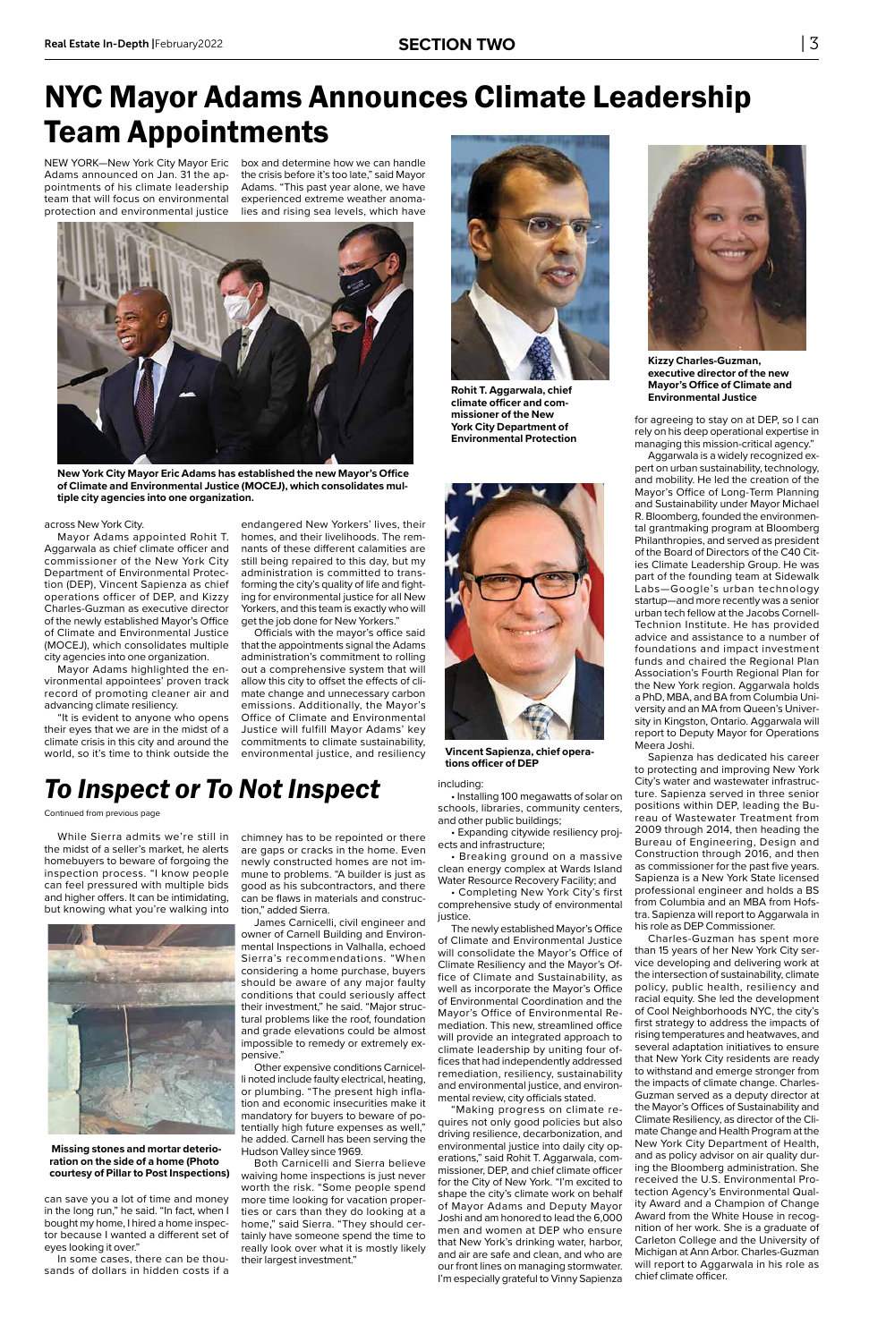NEW YORK—New York City Mayor Eric Adams announced on Jan. 31 the appointments of his climate leadership team that will focus on environmental protection and environmental justice

#### across New York City.

Mayor Adams appointed Rohit T. Aggarwala as chief climate officer and commissioner of the New York City Department of Environmental Protection (DEP), Vincent Sapienza as chief operations officer of DEP, and Kizzy Charles-Guzman as executive director of the newly established Mayor's Office of Climate and Environmental Justice (MOCEJ), which consolidates multiple city agencies into one organization.

Mayor Adams highlighted the environmental appointees' proven track record of promoting cleaner air and advancing climate resiliency.

"It is evident to anyone who opens their eyes that we are in the midst of a climate crisis in this city and around the world, so it's time to think outside the

## NYC Mayor Adams Announces Climate Leadership Team Appointments

box and determine how we can handle the crisis before it's too late," said Mayor Adams. "This past year alone, we have experienced extreme weather anomalies and rising sea levels, which have

> • Completing New York City's first comprehensive study of environmental justice.

endangered New Yorkers' lives, their homes, and their livelihoods. The remnants of these different calamities are still being repaired to this day, but my administration is committed to transforming the city's quality of life and fighting for environmental justice for all New Yorkers, and this team is exactly who will get the job done for New Yorkers."

Officials with the mayor's office said that the appointments signal the Adams administration's commitment to rolling out a comprehensive system that will allow this city to offset the effects of climate change and unnecessary carbon emissions. Additionally, the Mayor's Office of Climate and Environmental Justice will fulfill Mayor Adams' key commitments to climate sustainability, environmental justice, and resiliency



**Kizzy Charles-Guzman, executive director of the new Mayor's Office of Climate and Environmental Justice**



**New York City Mayor Eric Adams has established the new Mayor's Office of Climate and Environmental Justice (MOCEJ), which consolidates multiple city agencies into one organization.** 



**Rohit T. Aggarwala, chief climate officer and commissioner of the New York City Department of Environmental Protection**



**Vincent Sapienza, chief operations officer of DEP**

including:

• Installing 100 megawatts of solar on schools, libraries, community centers, and other public buildings;

• Expanding citywide resiliency projects and infrastructure;

• Breaking ground on a massive clean energy complex at Wards Island Water Resource Recovery Facility; and

The newly established Mayor's Office of Climate and Environmental Justice will consolidate the Mayor's Office of Climate Resiliency and the Mayor's Office of Climate and Sustainability, as well as incorporate the Mayor's Office of Environmental Coordination and the Mayor's Office of Environmental Remediation. This new, streamlined office will provide an integrated approach to climate leadership by uniting four offices that had independently addressed remediation, resiliency, sustainability and environmental justice, and environmental review, city officials stated. "Making progress on climate requires not only good policies but also driving resilience, decarbonization, and environmental justice into daily city operations," said Rohit T. Aggarwala, commissioner, DEP, and chief climate officer for the City of New York. "I'm excited to shape the city's climate work on behalf of Mayor Adams and Deputy Mayor Joshi and am honored to lead the 6,000 men and women at DEP who ensure that New York's drinking water, harbor, and air are safe and clean, and who are our front lines on managing stormwater. I'm especially grateful to Vinny Sapienza for agreeing to stay on at DEP, so I can rely on his deep operational expertise in managing this mission-critical agency."

Aggarwala is a widely recognized expert on urban sustainability, technology, and mobility. He led the creation of the Mayor's Office of Long-Term Planning and Sustainability under Mayor Michael R. Bloomberg, founded the environmental grantmaking program at Bloomberg Philanthropies, and served as president of the Board of Directors of the C40 Cities Climate Leadership Group. He was part of the founding team at Sidewalk Labs—Google's urban technology startup—and more recently was a senior urban tech fellow at the Jacobs Cornell-Technion Institute. He has provided advice and assistance to a number of foundations and impact investment funds and chaired the Regional Plan Association's Fourth Regional Plan for the New York region. Aggarwala holds a PhD, MBA, and BA from Columbia University and an MA from Queen's University in Kingston, Ontario. Aggarwala will report to Deputy Mayor for Operations Meera Joshi.

Sapienza has dedicated his career to protecting and improving New York City's water and wastewater infrastructure. Sapienza served in three senior positions within DEP, leading the Bureau of Wastewater Treatment from 2009 through 2014, then heading the Bureau of Engineering, Design and Construction through 2016, and then as commissioner for the past five years. Sapienza is a New York State licensed professional engineer and holds a BS from Columbia and an MBA from Hofstra. Sapienza will report to Aggarwala in his role as DEP Commissioner.

Charles-Guzman has spent more than 15 years of her New York City service developing and delivering work at the intersection of sustainability, climate policy, public health, resiliency and racial equity. She led the development of Cool Neighborhoods NYC, the city's first strategy to address the impacts of rising temperatures and heatwaves, and several adaptation initiatives to ensure that New York City residents are ready to withstand and emerge stronger from the impacts of climate change. Charles-Guzman served as a deputy director at the Mayor's Offices of Sustainability and Climate Resiliency, as director of the Climate Change and Health Program at the New York City Department of Health, and as policy advisor on air quality during the Bloomberg administration. She received the U.S. Environmental Protection Agency's Environmental Quality Award and a Champion of Change Award from the White House in recognition of her work. She is a graduate of Carleton College and the University of Michigan at Ann Arbor. Charles-Guzman will report to Aggarwala in his role as chief climate officer.

While Sierra admits we're still in the midst of a seller's market, he alerts homebuyers to beware of forgoing the inspection process. "I know people can feel pressured with multiple bids and higher offers. It can be intimidating, but knowing what you're walking into



can save you a lot of time and money in the long run," he said. "In fact, when I bought my home, I hired a home inspector because I wanted a different set of eyes looking it over."

In some cases, there can be thousands of dollars in hidden costs if a

#### **Missing stones and mortar deterioration on the side of a home (Photo courtesy of Pillar to Post Inspections)**

chimney has to be repointed or there are gaps or cracks in the home. Even newly constructed homes are not immune to problems. "A builder is just as good as his subcontractors, and there can be flaws in materials and construction," added Sierra.

James Carnicelli, civil engineer and owner of Carnell Building and Environmental Inspections in Valhalla, echoed Sierra's recommendations. "When considering a home purchase, buyers should be aware of any major faulty conditions that could seriously affect their investment," he said. "Major structural problems like the roof, foundation and grade elevations could be almost impossible to remedy or extremely expensive." Other expensive conditions Carnicelli noted include faulty electrical, heating, or plumbing. "The present high inflation and economic insecurities make it mandatory for buyers to beware of potentially high future expenses as well," he added. Carnell has been serving the Hudson Valley since 1969. Both Carnicelli and Sierra believe waiving home inspections is just never worth the risk. "Some people spend more time looking for vacation properties or cars than they do looking at a home," said Sierra. "They should certainly have someone spend the time to really look over what it is mostly likely their largest investment."

#### *To Inspect or To Not Inspect*

#### Continued from previous page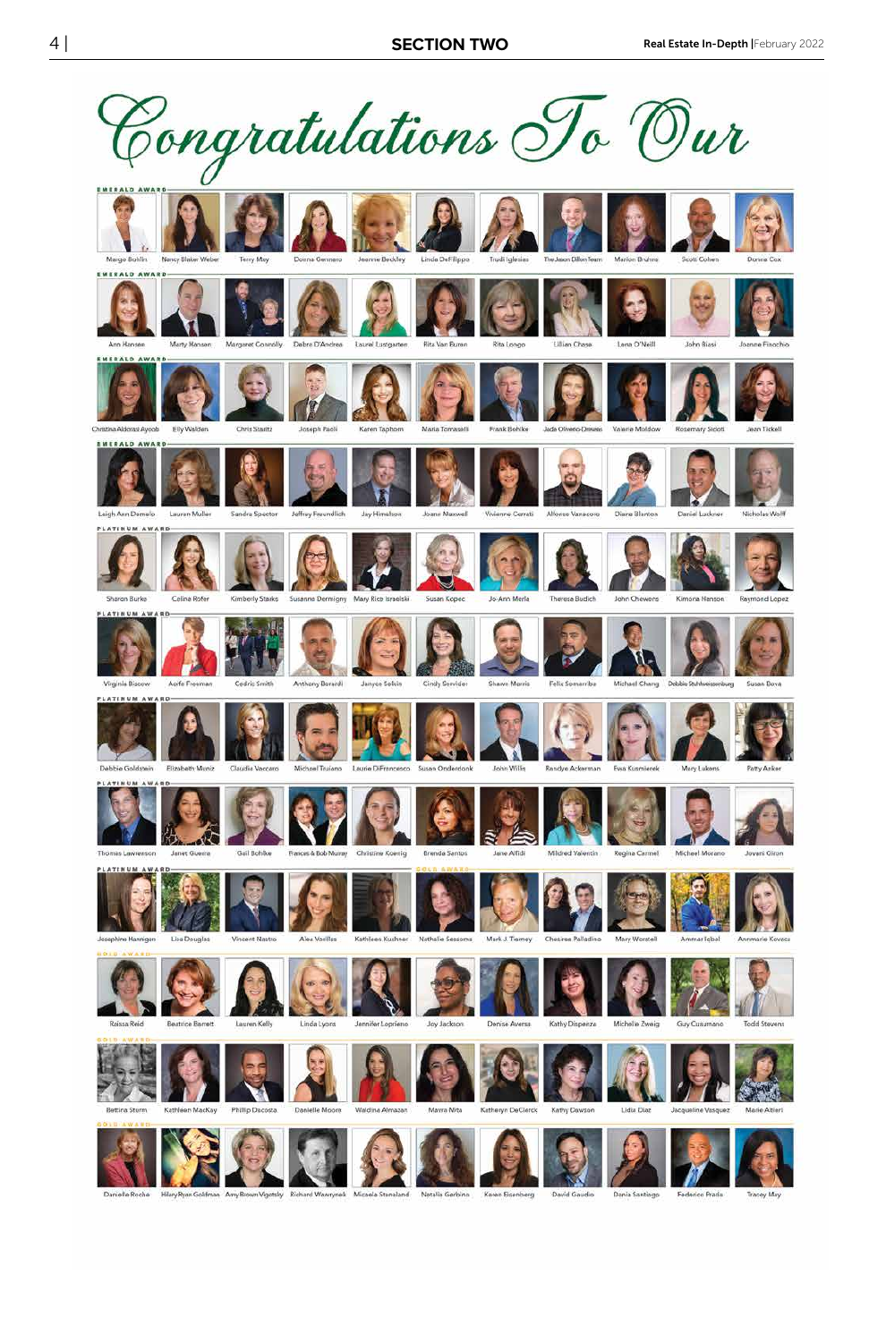



Josephine Hannigan



Vincent Nastro



Kathleen Kushner



Nathalie Sessoms



Chesiree Palladino



Mary Worstell



**Todd Stevens** 





Lisa Douglas













Ammar Igbal



Annmarie Kovacs

Phillip Decosta

Danielle Monre

Alea Vorillas

Katheryn DeClarck

Kathy Dawson

Lidia Diaz



















Danielle Roche

Hilary Ryan Goldman Amy Brown Vigotsky Richard Wawrynek Micaela Stanaland Natalia Gerbino Karen Eisenberg

David Gaudio

Dania Santiago Federico Prada

Tracey May



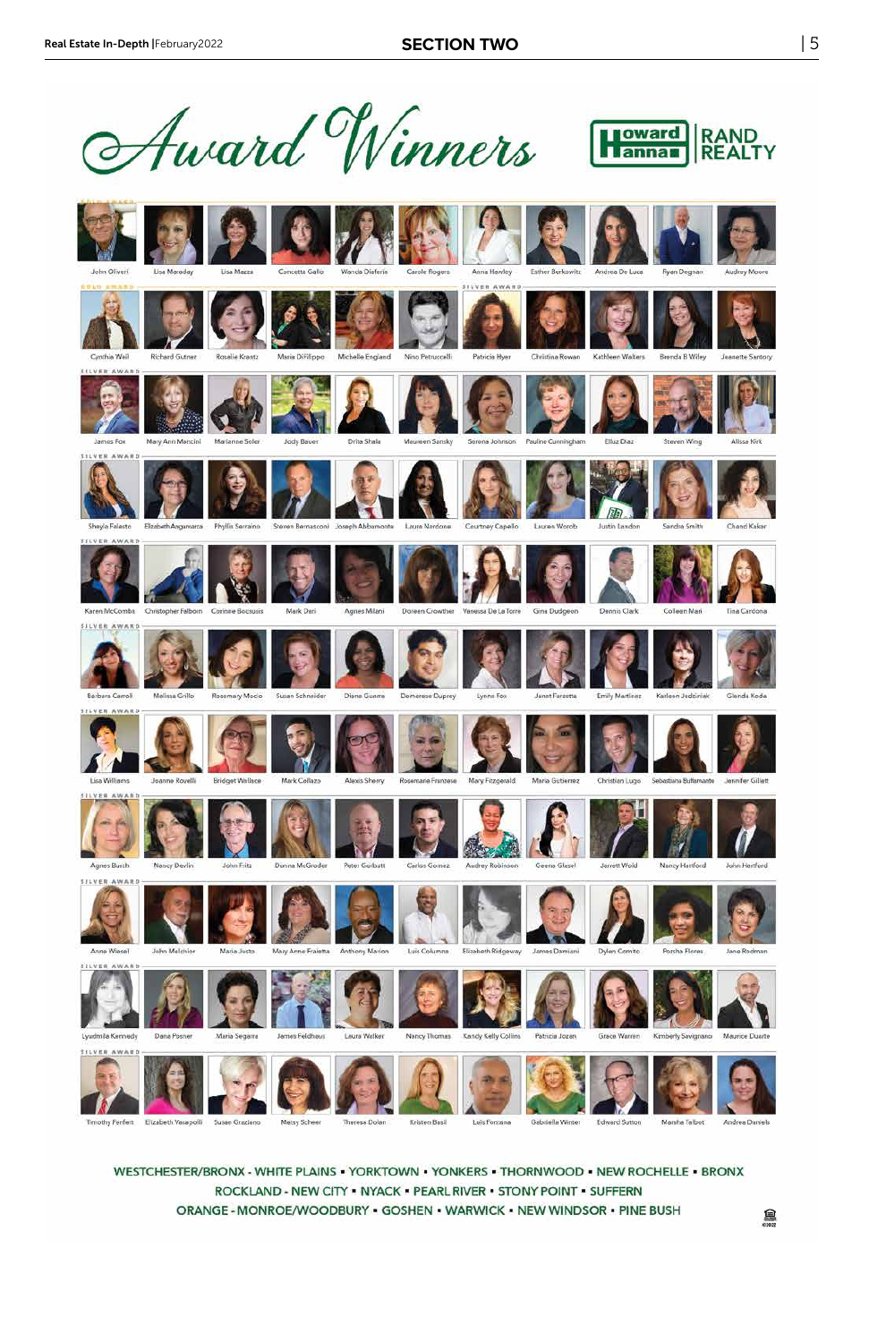



Anne Wiesel

**SILVER AWARD** 





Maria Justo



Mary Anne Fraietta Anthony Marion



Luis Columne



Elizabeth Ridgeway James Damiani





Dylen Comito



Ma



Jane Rodman



John Melchior

**A** 

Theresa Dolan

Kristen Basil Luis Fontana Gabriella Winter

Edward Sutton Marsha Talbot

Porsha Flores

Andrea Daniels

鼻

WESTCHESTER/BRONX - WHITE PLAINS - YORKTOWN - YONKERS - THORNWOOD - NEW ROCHELLE - BRONX ROCKLAND - NEW CITY - NYACK - PEARL RIVER - STONY POINT - SUFFERN ORANGE - MONROE/WOODBURY - GOSHEN - WARWICK - NEW WINDSOR - PINE BUSH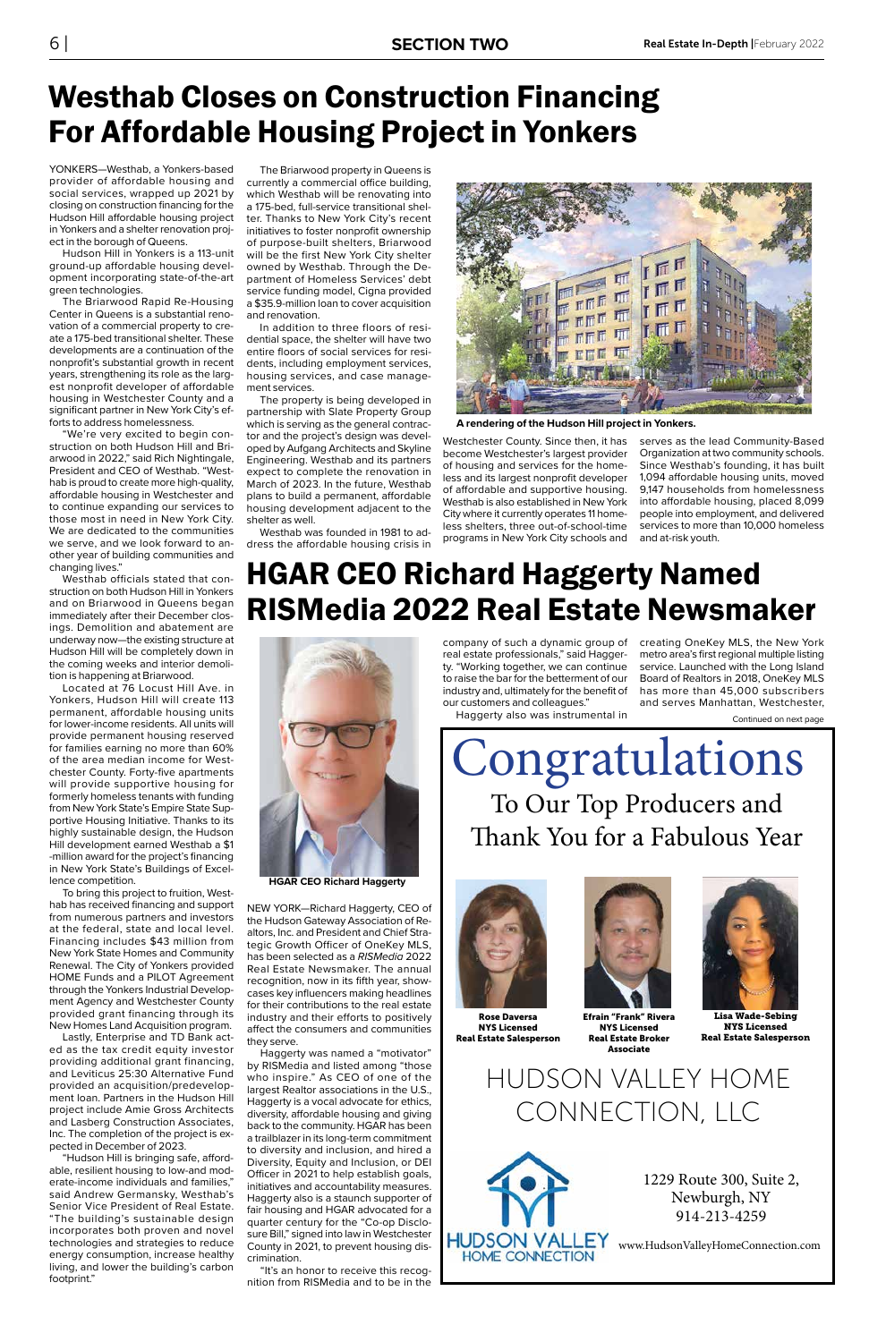YONKERS—Westhab, a Yonkers-based provider of affordable housing and social services, wrapped up 2021 by closing on construction financing for the Hudson Hill affordable housing project in Yonkers and a shelter renovation project in the borough of Queens.

Hudson Hill in Yonkers is a 113-unit ground-up affordable housing development incorporating state-of-the-art green technologies.

The Briarwood Rapid Re-Housing Center in Queens is a substantial renovation of a commercial property to create a 175-bed transitional shelter. These developments are a continuation of the nonprofit's substantial growth in recent years, strengthening its role as the largest nonprofit developer of affordable housing in Westchester County and a significant partner in New York City's efforts to address homelessness.

"We're very excited to begin construction on both Hudson Hill and Briarwood in 2022," said Rich Nightingale, President and CEO of Westhab. "Westhab is proud to create more high-quality, affordable housing in Westchester and to continue expanding our services to those most in need in New York City. We are dedicated to the communities we serve, and we look forward to another year of building communities and changing lives."

Westhab officials stated that construction on both Hudson Hill in Yonkers and on Briarwood in Queens began immediately after their December closings. Demolition and abatement are underway now—the existing structure at Hudson Hill will be completely down in the coming weeks and interior demolition is happening at Briarwood.

Located at 76 Locust Hill Ave. in Yonkers, Hudson Hill will create 113 permanent, affordable housing units for lower-income residents. All units will provide permanent housing reserved for families earning no more than 60% of the area median income for Westchester County. Forty-five apartments will provide supportive housing for formerly homeless tenants with funding from New York State's Empire State Supportive Housing Initiative. Thanks to its highly sustainable design, the Hudson Hill development earned Westhab a \$1 -million award for the project's financing in New York State's Buildings of Excellence competition.

To bring this project to fruition, Westhab has received financing and support from numerous partners and investors at the federal, state and local level. Financing includes \$43 million from New York State Homes and Community Renewal. The City of Yonkers provided HOME Funds and a PILOT Agreement through the Yonkers Industrial Development Agency and Westchester County provided grant financing through its New Homes Land Acquisition program. Lastly, Enterprise and TD Bank acted as the tax credit equity investor providing additional grant financing, and Leviticus 25:30 Alternative Fund provided an acquisition/predevelopment loan. Partners in the Hudson Hill project include Amie Gross Architects and Lasberg Construction Associates, Inc. The completion of the project is expected in December of 2023. "Hudson Hill is bringing safe, affordable, resilient housing to low-and moderate-income individuals and families," said Andrew Germansky, Westhab's Senior Vice President of Real Estate. "The building's sustainable design incorporates both proven and novel technologies and strategies to reduce energy consumption, increase healthy living, and lower the building's carbon footprint."



**A rendering of the Hudson Hill project in Yonkers.**

## Westhab Closes on Construction Financing For Affordable Housing Project in Yonkers

The Briarwood property in Queens is currently a commercial office building, which Westhab will be renovating into a 175-bed, full-service transitional shelter. Thanks to New York City's recent initiatives to foster nonprofit ownership of purpose-built shelters, Briarwood will be the first New York City shelter owned by Westhab. Through the Department of Homeless Services' debt service funding model, Cigna provided a \$35.9-million loan to cover acquisition and renovation.

In addition to three floors of residential space, the shelter will have two entire floors of social services for residents, including employment services, housing services, and case management services.

The property is being developed in partnership with Slate Property Group which is serving as the general contractor and the project's design was developed by Aufgang Architects and Skyline Engineering. Westhab and its partners expect to complete the renovation in March of 2023. In the future, Westhab plans to build a permanent, affordable housing development adjacent to the shelter as well.

Westhab was founded in 1981 to address the affordable housing crisis in

Westchester County. Since then, it has become Westchester's largest provider of housing and services for the homeless and its largest nonprofit developer of affordable and supportive housing. Westhab is also established in New York City where it currently operates 11 homeless shelters, three out-of-school-time programs in New York City schools and

serves as the lead Community-Based Organization at two community schools. Since Westhab's founding, it has built 1,094 affordable housing units, moved 9,147 households from homelessness into affordable housing, placed 8,099 people into employment, and delivered services to more than 10,000 homeless and at-risk youth.

To Our Top Producers and Thank You for a Fabulous Year Congratulations







Efrain "Frank" Rivera NYS Licensed Real Estate Broker Associate



Lisa Wade-Sebing NYS Licensed Real Estate Salesperson

HUDSON VALLEY HOME CONNECTION, LLC



1229 Route 300, Suite 2, Newburgh, NY 914-213-4259

www.HudsonValleyHomeConnection.com

NEW YORK—Richard Haggerty, CEO of the Hudson Gateway Association of Realtors, Inc. and President and Chief Strategic Growth Officer of OneKey MLS, has been selected as a RISMedia 2022 Real Estate Newsmaker. The annual recognition, now in its fifth year, showcases key influencers making headlines for their contributions to the real estate industry and their efforts to positively affect the consumers and communities they serve. Haggerty was named a "motivator" by RISMedia and listed among "those who inspire." As CEO of one of the largest Realtor associations in the U.S., Haggerty is a vocal advocate for ethics, diversity, affordable housing and giving back to the community. HGAR has been a trailblazer in its long-term commitment to diversity and inclusion, and hired a Diversity, Equity and Inclusion, or DEI Officer in 2021 to help establish goals, initiatives and accountability measures. Haggerty also is a staunch supporter of fair housing and HGAR advocated for a quarter century for the "Co-op Disclosure Bill," signed into law in Westchester County in 2021, to prevent housing discrimination.

"It's an honor to receive this recognition from RISMedia and to be in the

## HGAR CEO Richard Haggerty Named RISMedia 2022 Real Estate Newsmaker

real estate professionals," said Haggerty. "Working together, we can continue to raise the bar for the betterment of our industry and, ultimately for the benefit of our customers and colleagues."

company of such a dynamic group of creating OneKey MLS, the New York metro area's first regional multiple listing service. Launched with the Long Island Board of Realtors in 2018, OneKey MLS has more than 45,000 subscribers and serves Manhattan, Westchester,

Haggerty also was instrumental in

Continued on next page



**HGAR CEO Richard Haggerty**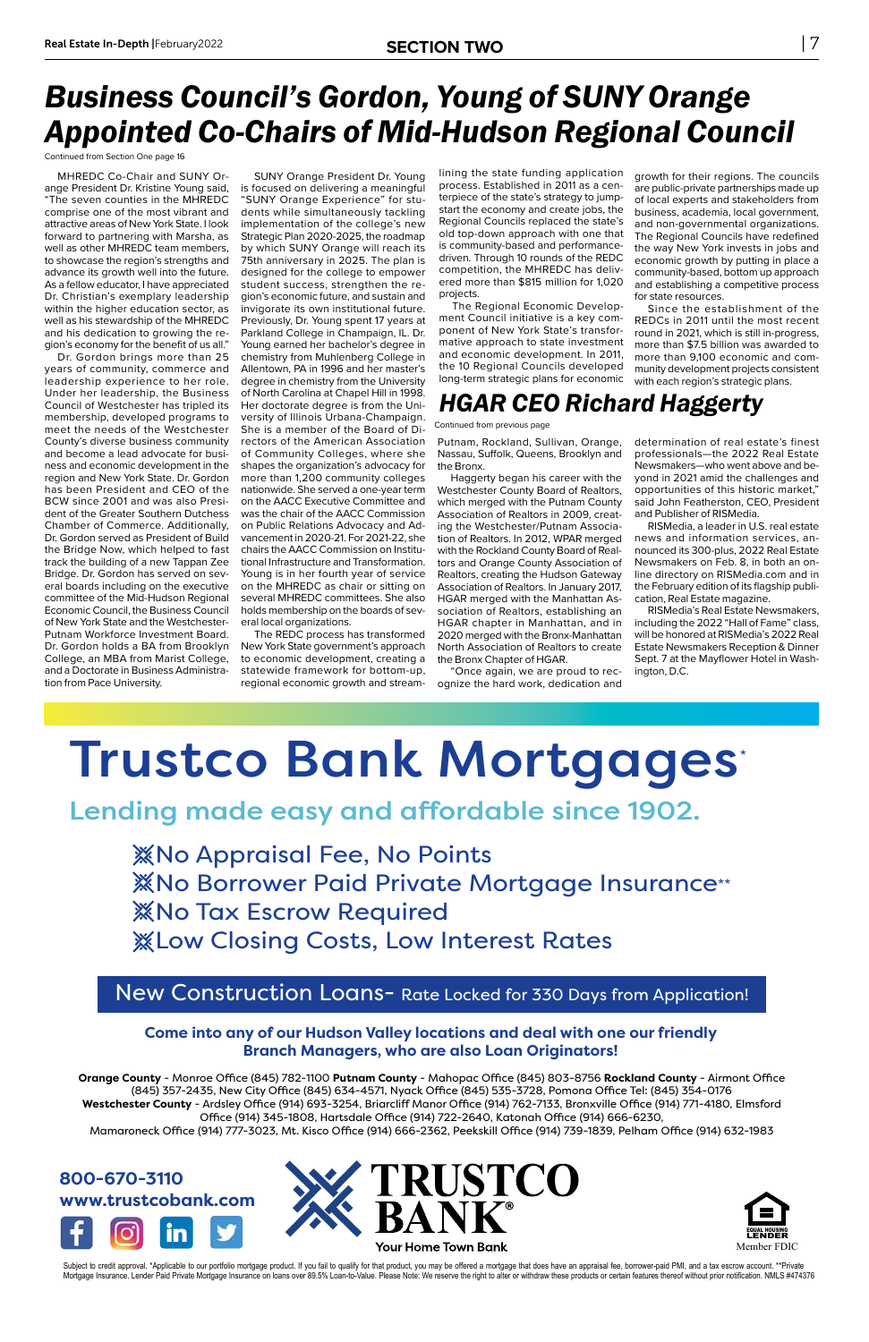

Subject to credit approval. \*Applicable to our portfolio mortgage product. If you fail to qualify for that product, you may be offered a mortgage that does have an appraisal fee, borrower-paid PMI, and a tax escrow account Mortgage Insurance. Lender Paid Private Mortgage Insurance on Ioans over 89.5% Loan-to-Value. Please Note: We reserve the right to alter or withdraw these products or certain features thereof without prior notification. NM

#### **Come into any of our Hudson Valley locations and deal with one our friendly Branch Managers, who are also Loan Originators!**

Orange County - Monroe Office (845) 782-1100 Putnam County - Mahopac Office (845) 803-8756 Rockland County - Airmont Office (845) 357-2435, New City Office (845) 634-4571, Nyack Office (845) 535-3728, Pomona Office Tel: (845) 354-0176 Westchester County - Ardsley Office (914) 693-3254, Briarcliff Manor Office (914) 762-7133, Bronxville Office (914) 771-4180, Elmsford Office (914) 345-1808, Hartsdale Office (914) 722-2640, Katonah Office (914) 666-6230, Mamaroneck Office (914) 777-3023, Mt. Kisco Office (914) 666-2362, Peekskill Office (914) 739-1839, Pelham Office (914) 632-1983



#### New Construction Loans- Rate Locked for 330 Days from Application!

MHREDC Co-Chair and SUNY Orange President Dr. Kristine Young said, "The seven counties in the MHREDC comprise one of the most vibrant and attractive areas of New York State. I look forward to partnering with Marsha, as well as other MHREDC team members, to showcase the region's strengths and advance its growth well into the future. As a fellow educator, I have appreciated Dr. Christian's exemplary leadership within the higher education sector, as well as his stewardship of the MHREDC and his dedication to growing the region's economy for the benefit of us all."

Dr. Gordon brings more than 25 years of community, commerce and leadership experience to her role. Under her leadership, the Business Council of Westchester has tripled its membership, developed programs to meet the needs of the Westchester County's diverse business community and become a lead advocate for business and economic development in the region and New York State. Dr. Gordon has been President and CEO of the BCW since 2001 and was also President of the Greater Southern Dutchess Chamber of Commerce. Additionally, Dr. Gordon served as President of Build the Bridge Now, which helped to fast track the building of a new Tappan Zee Bridge. Dr. Gordon has served on several boards including on the executive committee of the Mid-Hudson Regional Economic Council, the Business Council of New York State and the Westchester-Putnam Workforce Investment Board. Dr. Gordon holds a BA from Brooklyn College, an MBA from Marist College, and a Doctorate in Business Administration from Pace University.

SUNY Orange President Dr. Young is focused on delivering a meaningful "SUNY Orange Experience" for students while simultaneously tackling implementation of the college's new Strategic Plan 2020-2025, the roadmap by which SUNY Orange will reach its 75th anniversary in 2025. The plan is designed for the college to empower student success, strengthen the region's economic future, and sustain and invigorate its own institutional future. Previously, Dr. Young spent 17 years at Parkland College in Champaign, IL. Dr. Young earned her bachelor's degree in chemistry from Muhlenberg College in Allentown, PA in 1996 and her master's degree in chemistry from the University of North Carolina at Chapel Hill in 1998. Her doctorate degree is from the University of Illinois Urbana-Champaign. She is a member of the Board of Directors of the American Association of Community Colleges, where she shapes the organization's advocacy for more than 1,200 community colleges nationwide. She served a one-year term on the AACC Executive Committee and was the chair of the AACC Commission on Public Relations Advocacy and Advancement in 2020-21. For 2021-22, she chairs the AACC Commission on Institutional Infrastructure and Transformation. Young is in her fourth year of service on the MHREDC as chair or sitting on several MHREDC committees. She also holds membership on the boards of several local organizations.

The REDC process has transformed New York State government's approach to economic development, creating a statewide framework for bottom-up, regional economic growth and streamlining the state funding application process. Established in 2011 as a centerpiece of the state's strategy to jumpstart the economy and create jobs, the Regional Councils replaced the state's old top-down approach with one that is community-based and performancedriven. Through 10 rounds of the REDC competition, the MHREDC has delivered more than \$815 million for 1,020 projects.

The Regional Economic Development Council initiative is a key component of New York State's transformative approach to state investment and economic development. In 2011, the 10 Regional Councils developed long-term strategic plans for economic

growth for their regions. The councils are public-private partnerships made up of local experts and stakeholders from business, academia, local government, and non-governmental organizations. The Regional Councils have redefined the way New York invests in jobs and economic growth by putting in place a community-based, bottom up approach and establishing a competitive process for state resources.

Since the establishment of the REDCs in 2011 until the most recent round in 2021, which is still in-progress, more than \$7.5 billion was awarded to more than 9,100 economic and community development projects consistent with each region's strategic plans.

## *Business Council's Gordon, Young of SUNY Orange Appointed Co-Chairs of Mid-Hudson Regional Council*

Continued from Section One page 16

Putnam, Rockland, Sullivan, Orange, Nassau, Suffolk, Queens, Brooklyn and the Bronx.

Haggerty began his career with the Westchester County Board of Realtors, which merged with the Putnam County Association of Realtors in 2009, creating the Westchester/Putnam Association of Realtors. In 2012, WPAR merged with the Rockland County Board of Realtors and Orange County Association of Realtors, creating the Hudson Gateway Association of Realtors. In January 2017, HGAR merged with the Manhattan Association of Realtors, establishing an HGAR chapter in Manhattan, and in 2020 merged with the Bronx-Manhattan North Association of Realtors to create the Bronx Chapter of HGAR.

"Once again, we are proud to recognize the hard work, dedication and

determination of real estate's finest professionals—the 2022 Real Estate Newsmakers—who went above and beyond in 2021 amid the challenges and opportunities of this historic market," said John Featherston, CEO, President and Publisher of RISMedia.

RISMedia, a leader in U.S. real estate news and information services, announced its 300-plus, 2022 Real Estate Newsmakers on Feb. 8, in both an online directory on RISMedia.com and in the February edition of its flagship publication, Real Estate magazine.

RISMedia's Real Estate Newsmakers, including the 2022 "Hall of Fame" class, will be honored at RISMedia's 2022 Real Estate Newsmakers Reception & Dinner Sept. 7 at the Mayflower Hotel in Washington, D.C.

## Trustco Bank Mortgages\*

Lending made easy and affordable since 1902.

**XXNo Appraisal Fee, No Points XXNo Borrower Paid Private Mortgage Insurance\*\* XXNo Tax Escrow Required X Low Closing Costs, Low Interest Rates** 

#### *HGAR CEO Richard Haggerty*

Continued from previous page